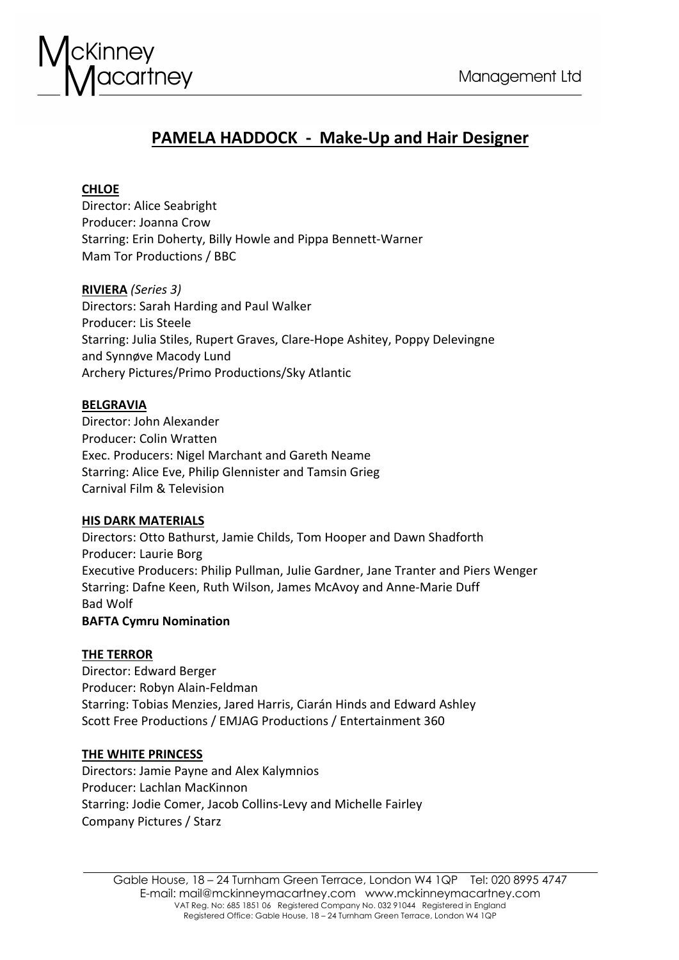

# **PAMELA HADDOCK - Make-Up and Hair Designer**

# **CHLOE**

Director: Alice Seabright Producer: Joanna Crow Starring: Erin Doherty, Billy Howle and Pippa Bennett-Warner Mam Tor Productions / BBC

**RIVIERA** *(Series 3)* Directors: Sarah Harding and Paul Walker Producer: Lis Steele Starring: Julia Stiles, Rupert Graves, Clare-Hope Ashitey, Poppy Delevingne and Synnøve Macody Lund Archery Pictures/Primo Productions/Sky Atlantic

# **BELGRAVIA**

Director: John Alexander Producer: Colin Wratten Exec. Producers: Nigel Marchant and Gareth Neame Starring: Alice Eve, Philip Glennister and Tamsin Grieg Carnival Film & Television

# **HIS DARK MATERIALS**

Directors: Otto Bathurst, Jamie Childs, Tom Hooper and Dawn Shadforth Producer: Laurie Borg Executive Producers: Philip Pullman, Julie Gardner, Jane Tranter and Piers Wenger Starring: Dafne Keen, Ruth Wilson, James McAvoy and Anne-Marie Duff Bad Wolf **BAFTA Cymru Nomination**

# **THE TERROR**

Director: Edward Berger Producer: Robyn Alain-Feldman Starring: Tobias Menzies, Jared Harris, Ciarán Hinds and Edward Ashley Scott Free Productions / EMJAG Productions / Entertainment 360

# **THE WHITE PRINCESS**

Directors: Jamie Payne and Alex Kalymnios Producer: Lachlan MacKinnon Starring: Jodie Comer, Jacob Collins-Levy and Michelle Fairley Company Pictures / Starz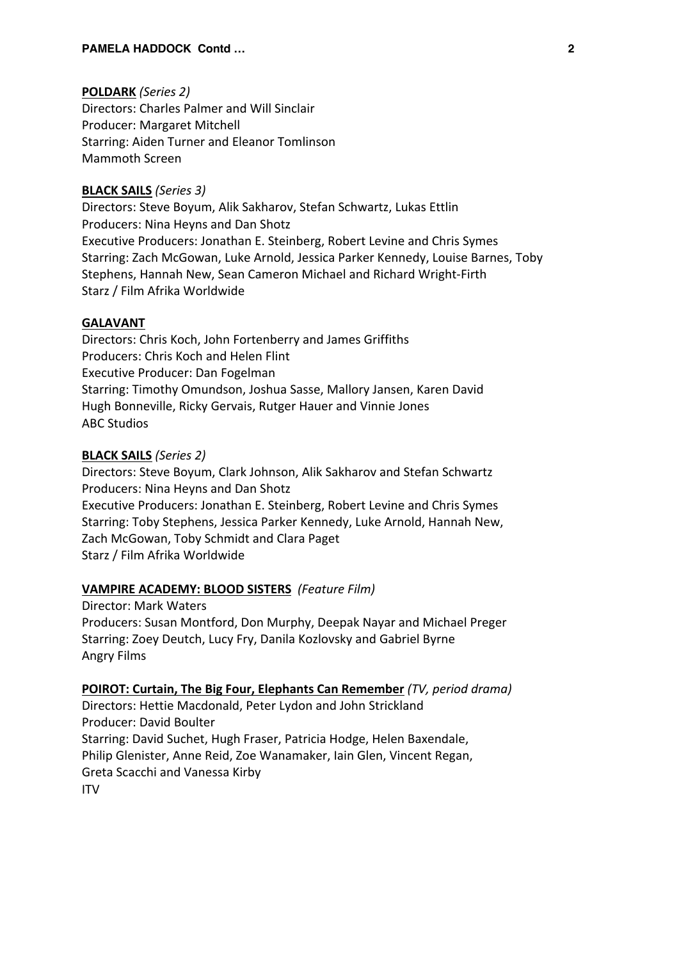# **POLDARK** *(Series 2)*

Directors: Charles Palmer and Will Sinclair Producer: Margaret Mitchell Starring: Aiden Turner and Eleanor Tomlinson Mammoth Screen

# **BLACK SAILS** *(Series 3)*

Directors: Steve Boyum, Alik Sakharov, Stefan Schwartz, Lukas Ettlin Producers: Nina Heyns and Dan Shotz Executive Producers: Jonathan E. Steinberg, Robert Levine and Chris Symes Starring: Zach McGowan, Luke Arnold, Jessica Parker Kennedy, Louise Barnes, Toby Stephens, Hannah New, Sean Cameron Michael and Richard Wright-Firth Starz / Film Afrika Worldwide

# **GALAVANT**

Directors: Chris Koch, John Fortenberry and James Griffiths Producers: Chris Koch and Helen Flint Executive Producer: Dan Fogelman Starring: Timothy Omundson, Joshua Sasse, Mallory Jansen, Karen David Hugh Bonneville, Ricky Gervais, Rutger Hauer and Vinnie Jones ABC Studios

# **BLACK SAILS** *(Series 2)*

Directors: Steve Boyum, Clark Johnson, Alik Sakharov and Stefan Schwartz Producers: Nina Heyns and Dan Shotz Executive Producers: Jonathan E. Steinberg, Robert Levine and Chris Symes Starring: Toby Stephens, Jessica Parker Kennedy, Luke Arnold, Hannah New, Zach McGowan, Toby Schmidt and Clara Paget Starz / Film Afrika Worldwide

### **VAMPIRE ACADEMY: BLOOD SISTERS** *(Feature Film)*

Director: Mark Waters Producers: Susan Montford, Don Murphy, Deepak Nayar and Michael Preger Starring: Zoey Deutch, Lucy Fry, Danila Kozlovsky and Gabriel Byrne Angry Films

# **POIROT: Curtain, The Big Four, Elephants Can Remember** *(TV, period drama)*

Directors: Hettie Macdonald, Peter Lydon and John Strickland Producer: David Boulter Starring: David Suchet, Hugh Fraser, Patricia Hodge, Helen Baxendale, Philip Glenister, Anne Reid, Zoe Wanamaker, Iain Glen, Vincent Regan, Greta Scacchi and Vanessa Kirby ITV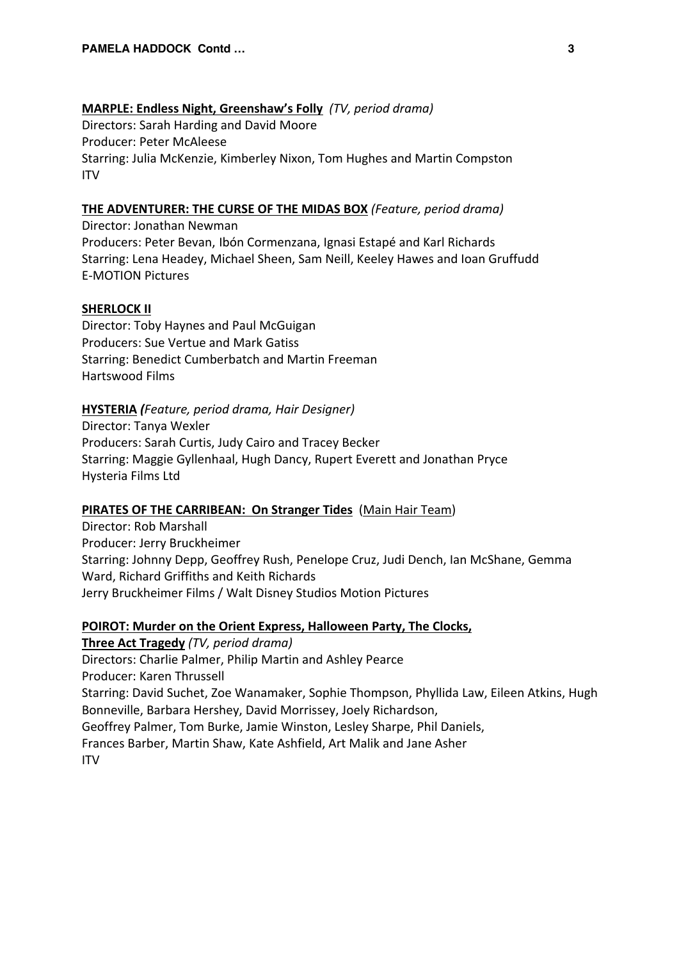# **MARPLE: Endless Night, Greenshaw's Folly** *(TV, period drama)*

Directors: Sarah Harding and David Moore Producer: Peter McAleese Starring: Julia McKenzie, Kimberley Nixon, Tom Hughes and Martin Compston ITV

# **THE ADVENTURER: THE CURSE OF THE MIDAS BOX** *(Feature, period drama)*

Director: Jonathan Newman Producers: Peter Bevan, Ibón Cormenzana, Ignasi Estapé and Karl Richards Starring: Lena Headey, Michael Sheen, Sam Neill, Keeley Hawes and Ioan Gruffudd E-MOTION Pictures

# **SHERLOCK II**

Director: Toby Haynes and Paul McGuigan Producers: Sue Vertue and Mark Gatiss Starring: Benedict Cumberbatch and Martin Freeman Hartswood Films

# **HYSTERIA** *(Feature, period drama, Hair Designer)*

Director: Tanya Wexler Producers: Sarah Curtis, Judy Cairo and Tracey Becker Starring: Maggie Gyllenhaal, Hugh Dancy, Rupert Everett and Jonathan Pryce Hysteria Films Ltd

## **PIRATES OF THE CARRIBEAN: On Stranger Tides** (Main Hair Team)

Director: Rob Marshall Producer: Jerry Bruckheimer Starring: Johnny Depp, Geoffrey Rush, Penelope Cruz, Judi Dench, Ian McShane, Gemma Ward, Richard Griffiths and Keith Richards Jerry Bruckheimer Films / Walt Disney Studios Motion Pictures

# **POIROT: Murder on the Orient Express, Halloween Party, The Clocks,**

**Three Act Tragedy** *(TV, period drama)* Directors: Charlie Palmer, Philip Martin and Ashley Pearce Producer: Karen Thrussell Starring: David Suchet, Zoe Wanamaker, Sophie Thompson, Phyllida Law, Eileen Atkins, Hugh Bonneville, Barbara Hershey, David Morrissey, Joely Richardson, Geoffrey Palmer, Tom Burke, Jamie Winston, Lesley Sharpe, Phil Daniels, Frances Barber, Martin Shaw, Kate Ashfield, Art Malik and Jane Asher ITV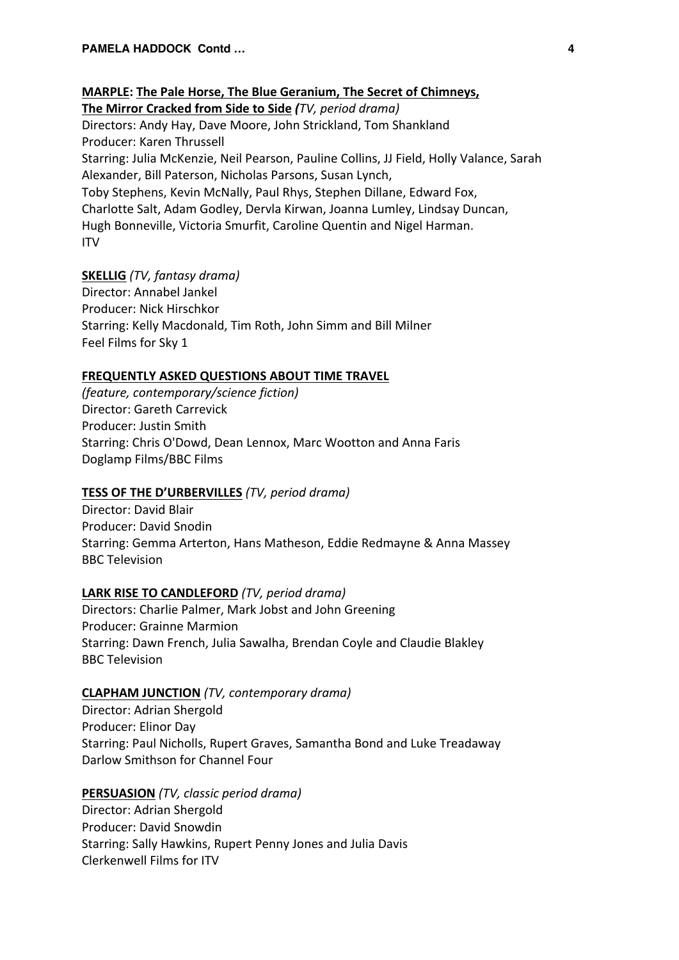**MARPLE: The Pale Horse, The Blue Geranium, The Secret of Chimneys, The Mirror Cracked from Side to Side** *(TV, period drama)* Directors: Andy Hay, Dave Moore, John Strickland, Tom Shankland Producer: Karen Thrussell Starring: Julia McKenzie, Neil Pearson, Pauline Collins, JJ Field, Holly Valance, Sarah Alexander, Bill Paterson, Nicholas Parsons, Susan Lynch, Toby Stephens, Kevin McNally, Paul Rhys, Stephen Dillane, Edward Fox, Charlotte Salt, Adam Godley, Dervla Kirwan, Joanna Lumley, Lindsay Duncan, Hugh Bonneville, Victoria Smurfit, Caroline Quentin and Nigel Harman. ITV

# **SKELLIG** *(TV, fantasy drama)*

Director: Annabel Jankel Producer: Nick Hirschkor Starring: Kelly Macdonald, Tim Roth, John Simm and Bill Milner Feel Films for Sky 1

# **FREQUENTLY ASKED QUESTIONS ABOUT TIME TRAVEL**

*(feature, contemporary/science fiction)* Director: Gareth Carrevick Producer: Justin Smith Starring: Chris O'Dowd, Dean Lennox, Marc Wootton and Anna Faris Doglamp Films/BBC Films

# **TESS OF THE D'URBERVILLES** *(TV, period drama)*

Director: David Blair Producer: David Snodin Starring: Gemma Arterton, Hans Matheson, Eddie Redmayne & Anna Massey BBC Television

# **LARK RISE TO CANDLEFORD** *(TV, period drama)*

Directors: Charlie Palmer, Mark Jobst and John Greening Producer: Grainne Marmion Starring: Dawn French, Julia Sawalha, Brendan Coyle and Claudie Blakley BBC Television

# **CLAPHAM JUNCTION** *(TV, contemporary drama)*

Director: Adrian Shergold Producer: Elinor Day Starring: Paul Nicholls, Rupert Graves, Samantha Bond and Luke Treadaway Darlow Smithson for Channel Four

# **PERSUASION** *(TV, classic period drama)*

Director: Adrian Shergold Producer: David Snowdin Starring: Sally Hawkins, Rupert Penny Jones and Julia Davis Clerkenwell Films for ITV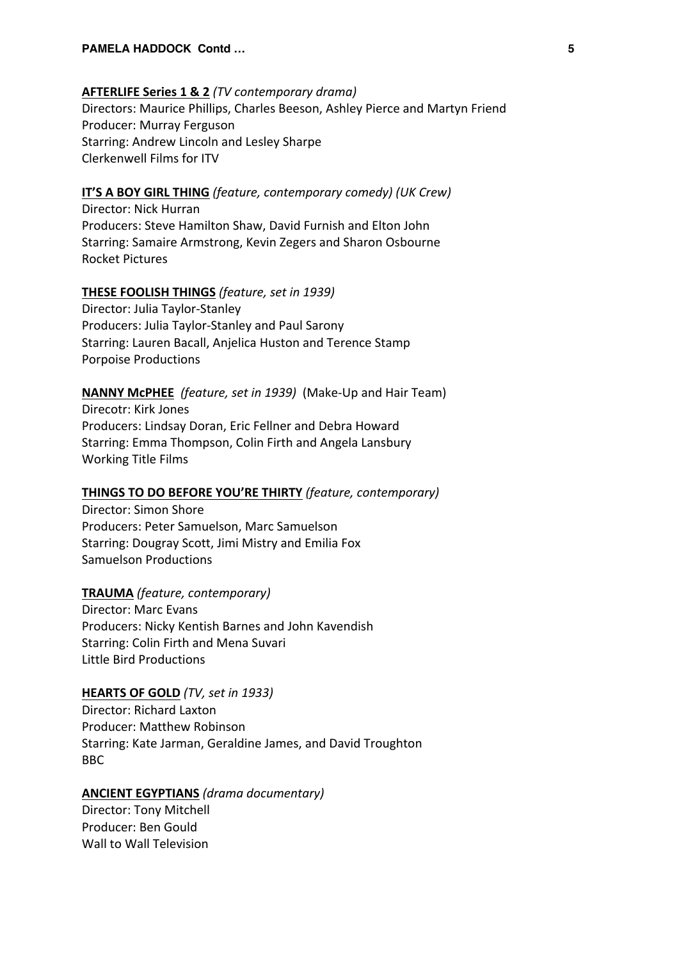#### **AFTERLIFE Series 1 & 2** *(TV contemporary drama)*

Directors: Maurice Phillips, Charles Beeson, Ashley Pierce and Martyn Friend Producer: Murray Ferguson Starring: Andrew Lincoln and Lesley Sharpe Clerkenwell Films for ITV

# **IT'S A BOY GIRL THING** *(feature, contemporary comedy) (UK Crew)*

Director: Nick Hurran Producers: Steve Hamilton Shaw, David Furnish and Elton John Starring: Samaire Armstrong, Kevin Zegers and Sharon Osbourne Rocket Pictures

#### **THESE FOOLISH THINGS** *(feature, set in 1939)*

Director: Julia Taylor-Stanley Producers: Julia Taylor-Stanley and Paul Sarony Starring: Lauren Bacall, Anjelica Huston and Terence Stamp Porpoise Productions

**NANNY McPHEE** *(feature, set in 1939)* (Make-Up and Hair Team) Direcotr: Kirk Jones Producers: Lindsay Doran, Eric Fellner and Debra Howard Starring: Emma Thompson, Colin Firth and Angela Lansbury Working Title Films

### **THINGS TO DO BEFORE YOU'RE THIRTY** *(feature, contemporary)*

Director: Simon Shore Producers: Peter Samuelson, Marc Samuelson Starring: Dougray Scott, Jimi Mistry and Emilia Fox Samuelson Productions

# **TRAUMA** *(feature, contemporary)*

Director: Marc Evans Producers: Nicky Kentish Barnes and John Kavendish Starring: Colin Firth and Mena Suvari Little Bird Productions

### **HEARTS OF GOLD** *(TV, set in 1933)*

Director: Richard Laxton Producer: Matthew Robinson Starring: Kate Jarman, Geraldine James, and David Troughton BBC

### **ANCIENT EGYPTIANS** *(drama documentary)*

Director: Tony Mitchell Producer: Ben Gould Wall to Wall Television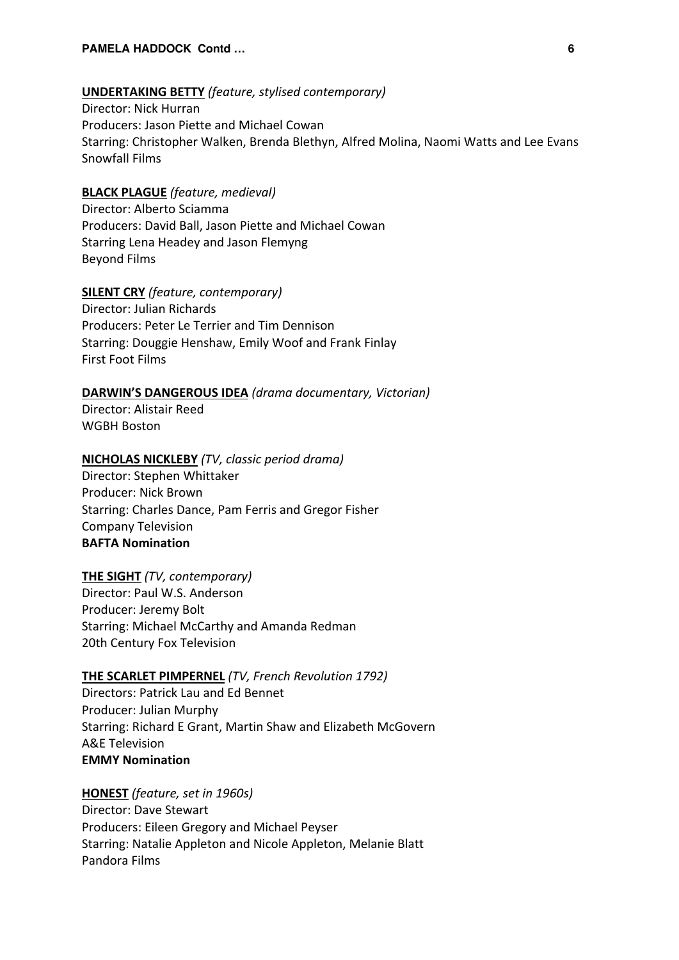#### **UNDERTAKING BETTY** *(feature, stylised contemporary)*

Director: Nick Hurran Producers: Jason Piette and Michael Cowan Starring: Christopher Walken, Brenda Blethyn, Alfred Molina, Naomi Watts and Lee Evans Snowfall Films

# **BLACK PLAGUE** *(feature, medieval)*

Director: Alberto Sciamma Producers: David Ball, Jason Piette and Michael Cowan Starring Lena Headey and Jason Flemyng Beyond Films

### **SILENT CRY** *(feature, contemporary)*

Director: Julian Richards Producers: Peter Le Terrier and Tim Dennison Starring: Douggie Henshaw, Emily Woof and Frank Finlay First Foot Films

# **DARWIN'S DANGEROUS IDEA** *(drama documentary, Victorian)*

Director: Alistair Reed WGBH Boston

#### **NICHOLAS NICKLEBY** *(TV, classic period drama)*

Director: Stephen Whittaker Producer: Nick Brown Starring: Charles Dance, Pam Ferris and Gregor Fisher Company Television **BAFTA Nomination**

#### **THE SIGHT** *(TV, contemporary)*

Director: Paul W.S. Anderson Producer: Jeremy Bolt Starring: Michael McCarthy and Amanda Redman 20th Century Fox Television

#### **THE SCARLET PIMPERNEL** *(TV, French Revolution 1792)*

Directors: Patrick Lau and Ed Bennet Producer: Julian Murphy Starring: Richard E Grant, Martin Shaw and Elizabeth McGovern A&E Television **EMMY Nomination**

#### **HONEST** *(feature, set in 1960s)*

Director: Dave Stewart Producers: Eileen Gregory and Michael Peyser Starring: Natalie Appleton and Nicole Appleton, Melanie Blatt Pandora Films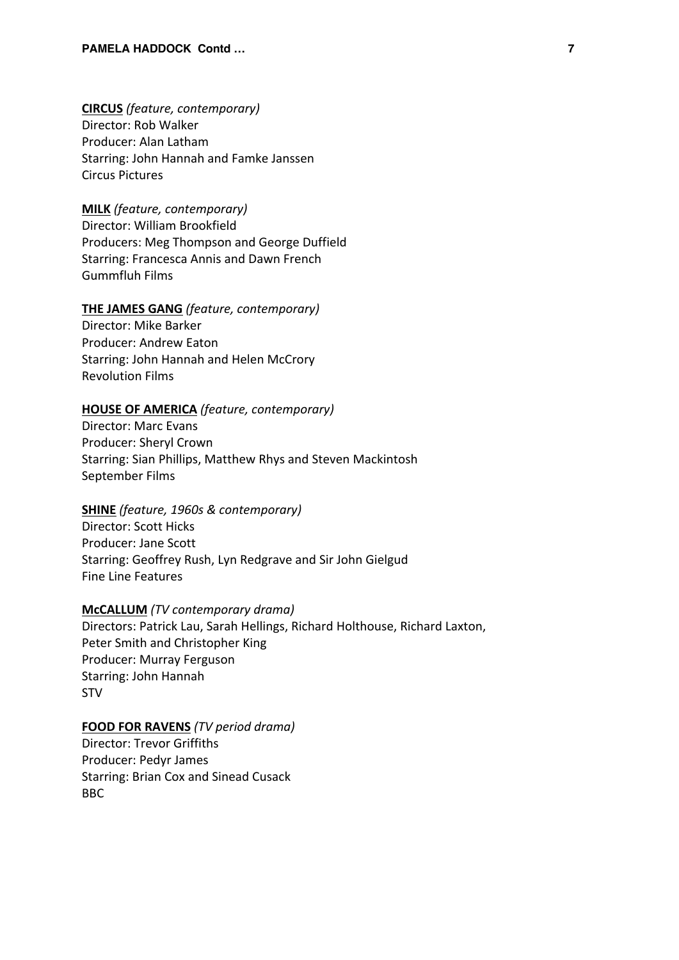**CIRCUS** *(feature, contemporary)* Director: Rob Walker Producer: Alan Latham Starring: John Hannah and Famke Janssen Circus Pictures

# **MILK** *(feature, contemporary)*

Director: William Brookfield Producers: Meg Thompson and George Duffield Starring: Francesca Annis and Dawn French Gummfluh Films

#### **THE JAMES GANG** *(feature, contemporary)*

Director: Mike Barker Producer: Andrew Eaton Starring: John Hannah and Helen McCrory Revolution Films

### **HOUSE OF AMERICA** *(feature, contemporary)*

Director: Marc Evans Producer: Sheryl Crown Starring: Sian Phillips, Matthew Rhys and Steven Mackintosh September Films

## **SHINE** *(feature, 1960s & contemporary)*

Director: Scott Hicks Producer: Jane Scott Starring: Geoffrey Rush, Lyn Redgrave and Sir John Gielgud Fine Line Features

#### **McCALLUM** *(TV contemporary drama)*

Directors: Patrick Lau, Sarah Hellings, Richard Holthouse, Richard Laxton, Peter Smith and Christopher King Producer: Murray Ferguson Starring: John Hannah STV

#### **FOOD FOR RAVENS** *(TV period drama)*

Director: Trevor Griffiths Producer: Pedyr James Starring: Brian Cox and Sinead Cusack BBC